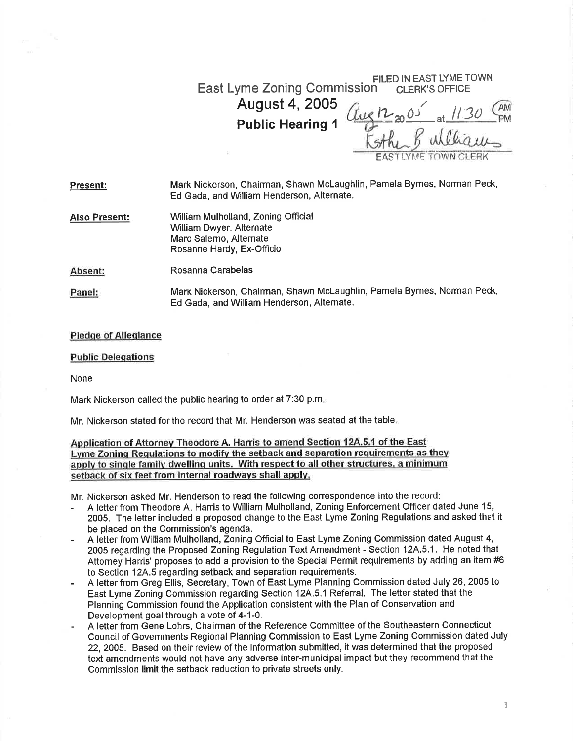## FILED IN EAST LYME TOWN<br>N CLERK'S OFFICE East Lyme Zoning Commission<sup>1</sup>

August 4,2005 Public Hearing <sup>1</sup>

 $\frac{1}{10}$  $\overline{f}$  $12^{05}$  at  $1/30$ STAL B UNULOWS K

Mark Nickerson, Chairman, Shawn Mclaughlin, Pamela Byrnes, Norman Peck, Ed Gada, and William Henderson, Alternate. Present:

William Mulholland, Zoning Official William Dwyer, Alternate Marc Salerno, Alternate Rosanne Hardy, Ex-Officio Also Present:

Rosanna Carabelas Absent:

Marr Nickerson, Chairman, Shawn Mclaughlin, Pamela Byrnes, Norman Peck, Ed Gada, and William Henderson, Alternate. Panel:

## Pledqe of Alleqiance

## Public Deleqations

None

Mark Nickerson called the public hearing to order at 7:30 p.m

Mr. Nickerson stated for the record that Mr. Henderson was seated at the table

Application of Attornev Theodore A. Harris to amend Section 12A.5.1 of the East Lvme Zoninq Requlations to modifv the setback and separation requirements as thev apply to single family dwelling units. With respect to all other structures, a minimum setback of six feet from internal roadways shall apply.

Mr. Nickerson asked Mr. Henderson to read the following correspondence into the record:

- <sup>A</sup>letter from Theodore A. Harris to William Mulholland, Zoning Enforcement Officer dated June 15, 2005. The letter included a proposed change to the East Lyme Zoning Regulations and asked that it be placed on the Commission's agenda.
- <sup>A</sup>letter from William Mulholland, Zoning Official to East Lyme Zoning Commission dated August 4, 2005 regarding the Proposed Zoning Regulation Text Amendment - Section 12A.5.1. He noted that Attorney Harris' proposes to add a provision to the Special Permit requirements by adding an item #6 to Section 12A.5 regarding setback and separation requirements.
- A letter from Greg Ellis, Secretary, Town of East Lyme Planning Commission dated July 26, 2005 to East Lyme Zoning Commission regarding Section 12A.5.1 Referral. The letter stated that the Planning Commission found the Application consistent with the Plan of Conservation and Development goal through a vote of 4-1-0.
- <sup>A</sup>letter from Gene Lohrs, Chairman of the Reference Committee of the Southeastern Connecticut Council of Governments Regional Planning Commission to East Lyme Zoning Commission dated July 22, 2005. Based on their review of the information submitted, it was determined that the proposed text amendments would not have any adverse inter-municipal impact but they recommend that the Commission limit the setback reduction to private streets only,

1